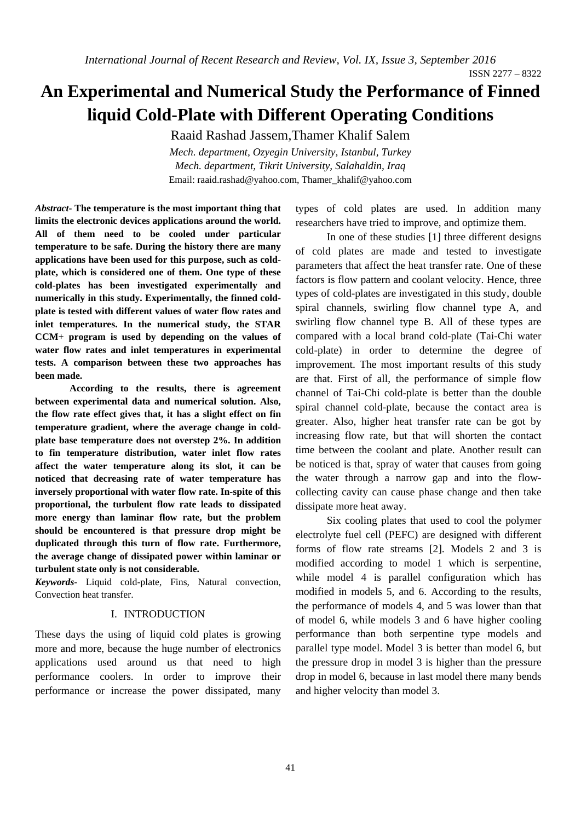ISSN 2277 – 8322

# **An Experimental and Numerical Study the Performance of Finned liquid Cold-Plate with Different Operating Conditions**

Raaid Rashad Jassem,Thamer Khalif Salem

*Mech. department, Ozyegin University, Istanbul, Turkey Mech. department, Tikrit University, Salahaldin, Iraq*  Email: raaid.rashad@yahoo.com, Thamer\_khalif@yahoo.com

*Abstract***- The temperature is the most important thing that limits the electronic devices applications around the world. All of them need to be cooled under particular temperature to be safe. During the history there are many applications have been used for this purpose, such as coldplate, which is considered one of them. One type of these cold-plates has been investigated experimentally and numerically in this study. Experimentally, the finned coldplate is tested with different values of water flow rates and inlet temperatures. In the numerical study, the STAR CCM+ program is used by depending on the values of water flow rates and inlet temperatures in experimental tests. A comparison between these two approaches has been made.** 

**According to the results, there is agreement between experimental data and numerical solution. Also, the flow rate effect gives that, it has a slight effect on fin temperature gradient, where the average change in coldplate base temperature does not overstep 2%. In addition to fin temperature distribution, water inlet flow rates affect the water temperature along its slot, it can be noticed that decreasing rate of water temperature has inversely proportional with water flow rate. In-spite of this proportional, the turbulent flow rate leads to dissipated more energy than laminar flow rate, but the problem should be encountered is that pressure drop might be duplicated through this turn of flow rate. Furthermore, the average change of dissipated power within laminar or turbulent state only is not considerable.** 

*Keywords*- Liquid cold-plate, Fins, Natural convection, Convection heat transfer.

## I. INTRODUCTION

These days the using of liquid cold plates is growing more and more, because the huge number of electronics applications used around us that need to high performance coolers. In order to improve their performance or increase the power dissipated, many

types of cold plates are used. In addition many researchers have tried to improve, and optimize them.

In one of these studies [1] three different designs of cold plates are made and tested to investigate parameters that affect the heat transfer rate. One of these factors is flow pattern and coolant velocity. Hence, three types of cold-plates are investigated in this study, double spiral channels, swirling flow channel type A, and swirling flow channel type B. All of these types are compared with a local brand cold-plate (Tai-Chi water cold-plate) in order to determine the degree of improvement. The most important results of this study are that. First of all, the performance of simple flow channel of Tai-Chi cold-plate is better than the double spiral channel cold-plate, because the contact area is greater. Also, higher heat transfer rate can be got by increasing flow rate, but that will shorten the contact time between the coolant and plate. Another result can be noticed is that, spray of water that causes from going the water through a narrow gap and into the flowcollecting cavity can cause phase change and then take dissipate more heat away.

Six cooling plates that used to cool the polymer electrolyte fuel cell (PEFC) are designed with different forms of flow rate streams [2]. Models 2 and 3 is modified according to model 1 which is serpentine, while model 4 is parallel configuration which has modified in models 5, and 6. According to the results, the performance of models 4, and 5 was lower than that of model 6, while models 3 and 6 have higher cooling performance than both serpentine type models and parallel type model. Model 3 is better than model 6, but the pressure drop in model 3 is higher than the pressure drop in model 6, because in last model there many bends and higher velocity than model 3.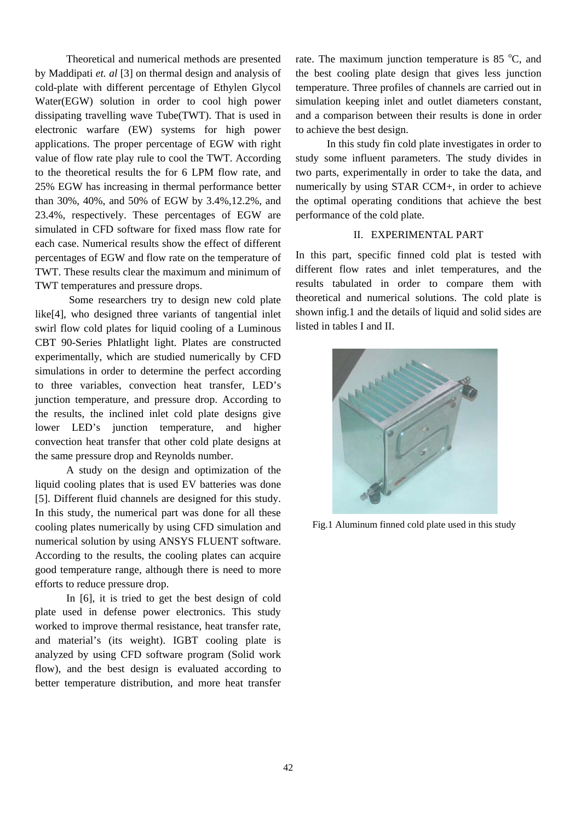Theoretical and numerical methods are presented by Maddipati *et. al* [3] on thermal design and analysis of cold-plate with different percentage of Ethylen Glycol Water(EGW) solution in order to cool high power dissipating travelling wave Tube(TWT). That is used in electronic warfare (EW) systems for high power applications. The proper percentage of EGW with right value of flow rate play rule to cool the TWT. According to the theoretical results the for 6 LPM flow rate, and 25% EGW has increasing in thermal performance better than 30%, 40%, and 50% of EGW by 3.4%,12.2%, and 23.4%, respectively. These percentages of EGW are simulated in CFD software for fixed mass flow rate for each case. Numerical results show the effect of different percentages of EGW and flow rate on the temperature of TWT. These results clear the maximum and minimum of TWT temperatures and pressure drops.

 Some researchers try to design new cold plate like[4], who designed three variants of tangential inlet swirl flow cold plates for liquid cooling of a Luminous CBT 90-Series Phlatlight light. Plates are constructed experimentally, which are studied numerically by CFD simulations in order to determine the perfect according to three variables, convection heat transfer, LED's junction temperature, and pressure drop. According to the results, the inclined inlet cold plate designs give lower LED's junction temperature, and higher convection heat transfer that other cold plate designs at the same pressure drop and Reynolds number.

A study on the design and optimization of the liquid cooling plates that is used EV batteries was done [5]. Different fluid channels are designed for this study. In this study, the numerical part was done for all these cooling plates numerically by using CFD simulation and numerical solution by using ANSYS FLUENT software. According to the results, the cooling plates can acquire good temperature range, although there is need to more efforts to reduce pressure drop.

In [6], it is tried to get the best design of cold plate used in defense power electronics. This study worked to improve thermal resistance, heat transfer rate, and material's (its weight). IGBT cooling plate is analyzed by using CFD software program (Solid work flow), and the best design is evaluated according to better temperature distribution, and more heat transfer

rate. The maximum junction temperature is 85 $\degree$ C, and the best cooling plate design that gives less junction temperature. Three profiles of channels are carried out in simulation keeping inlet and outlet diameters constant, and a comparison between their results is done in order to achieve the best design.

In this study fin cold plate investigates in order to study some influent parameters. The study divides in two parts, experimentally in order to take the data, and numerically by using STAR CCM+, in order to achieve the optimal operating conditions that achieve the best performance of the cold plate.

### II. EXPERIMENTAL PART

In this part, specific finned cold plat is tested with different flow rates and inlet temperatures, and the results tabulated in order to compare them with theoretical and numerical solutions. The cold plate is shown infig.1 and the details of liquid and solid sides are listed in tables I and II.



Fig.1 Aluminum finned cold plate used in this study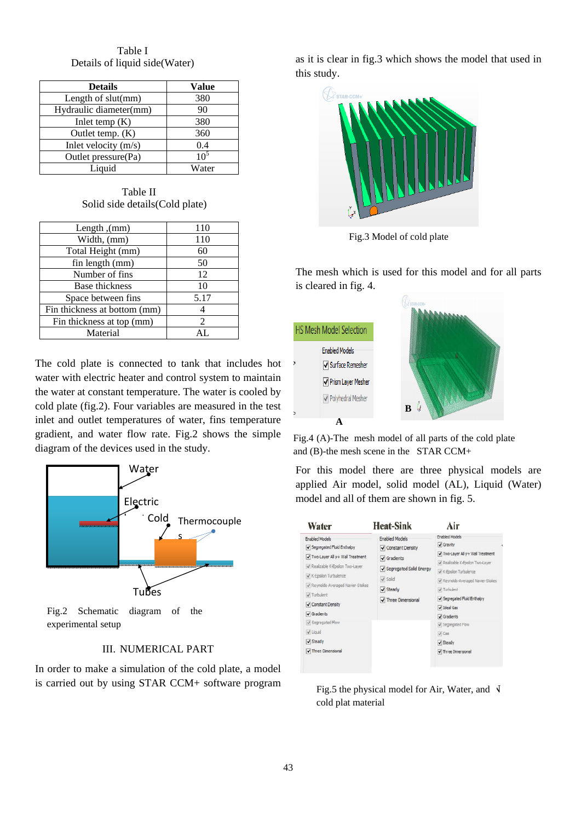Table I Details of liquid side(Water)

| <b>Details</b>         | Value           |
|------------------------|-----------------|
| Length of $slut(mm)$   | 380             |
| Hydraulic diameter(mm) | 90              |
| Inlet temp $(K)$       | 380             |
| Outlet temp. $(K)$     | 360             |
| Inlet velocity $(m/s)$ | 0.4             |
| Outlet pressure(Pa)    | 10 <sup>5</sup> |
| Liquid                 | Water           |

Table II Solid side details(Cold plate)

| Length, (mm)                 | 110            |
|------------------------------|----------------|
| Width, (mm)                  | 110            |
| Total Height (mm)            | 60             |
| fin length (mm)              | 50             |
| Number of fins               | 12             |
| Base thickness               | 10             |
| Space between fins           | 5.17           |
| Fin thickness at bottom (mm) |                |
| Fin thickness at top (mm)    | $\mathfrak{D}$ |
| Material                     | AT.            |

The cold plate is connected to tank that includes hot water with electric heater and control system to maintain the water at constant temperature. The water is cooled by cold plate (fig.2). Four variables are measured in the test inlet and outlet temperatures of water, fins temperature gradient, and water flow rate. Fig.2 shows the simple diagram of the devices used in the study.



Fig.2 Schematic diagram of the experimental setup

### III. NUMERICAL PART

In order to make a simulation of the cold plate, a model is carried out by using STAR CCM+ software program as it is clear in fig.3 which shows the model that used in this study.



Fig.3 Model of cold plate

The mesh which is used for this model and for all parts is cleared in fig. 4.



Fig.4 (A)-The mesh model of all parts of the cold plate and (B)-the mesh scene in the STAR CCM+

For this model there are three physical models are applied Air model, solid model (AL), Liquid (Water) model and all of them are shown in fig. 5.

| Water                                                                                                                                                                                                                                                                                                                                          | <b>Heat-Sink</b>                                                                                                                                               | Air                                                                                                                                                                                                                                                                                                                                  |  |
|------------------------------------------------------------------------------------------------------------------------------------------------------------------------------------------------------------------------------------------------------------------------------------------------------------------------------------------------|----------------------------------------------------------------------------------------------------------------------------------------------------------------|--------------------------------------------------------------------------------------------------------------------------------------------------------------------------------------------------------------------------------------------------------------------------------------------------------------------------------------|--|
| <b>Enabled Models</b><br>Segregated Fluid Enthalpy<br>Two-Layer All y+ Wall Treatment<br>Realizable K-Epsilon Two-Layer<br>√ K-Epsilon Turbulence<br>Peynolds-Averaged Navier-Stokes<br>V Turbulent<br>√ Constant Density<br>$\blacktriangledown$ Gradients<br>Segregated Flow<br>$\vee$ Liquid<br>$\triangledown$ Steady<br>Three Dimensional | <b>Enabled Models</b><br>Constant Density<br>$\blacktriangledown$ Gradients<br>✔ Segregated Solid Energy<br>$\sqrt$ Solid<br>$J$ Steady<br>V Three Dimensional | <b>Enabled Models</b><br>Gravity<br>Two-Layer All y + Wall Treatment<br>Pealizable K-Epsilon Two-Layer<br>V K-Epsilon Turbulence<br>Peynolds-Averaged Navier-Stokes<br>V Turbulent<br>Segregated Fluid Enthalpy<br>V Ideal Gas<br>$\sqrt{G}$ Gradients<br>√ Segregated Flow<br>$\sqrt{Ga}$<br>√ Steady<br><b>V</b> Three Dimensional |  |

Fig.5 the physical model for Air, Water, and  $\sqrt{ }$ cold plat material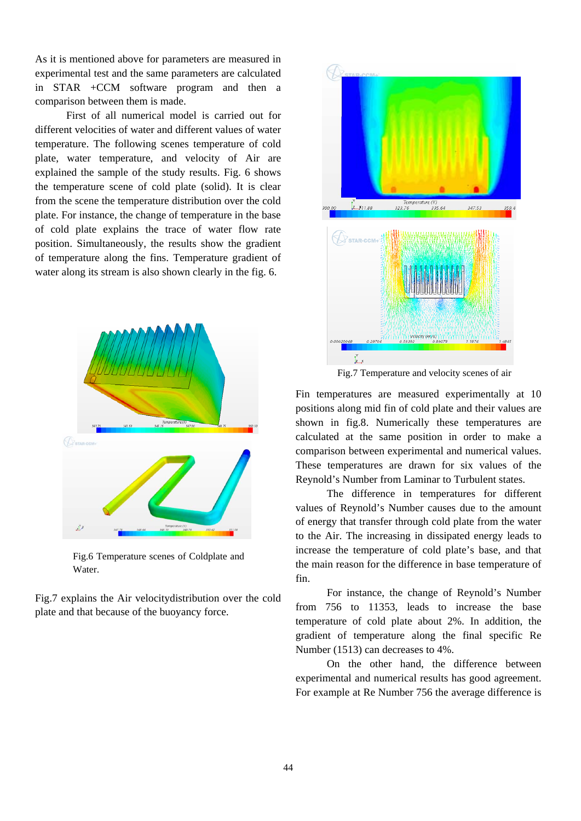As it is mentioned above for parameters are measured in experimental test and the same parameters are calculated in STAR +CCM software program and then a comparison between them is made.

First of all numerical model is carried out for different velocities of water and different values of water temperature. The following scenes temperature of cold plate, water temperature, and velocity of Air are explained the sample of the study results. Fig. 6 shows the temperature scene of cold plate (solid). It is clear from the scene the temperature distribution over the cold plate. For instance, the change of temperature in the base of cold plate explains the trace of water flow rate position. Simultaneously, the results show the gradient of temperature along the fins. Temperature gradient of water along its stream is also shown clearly in the fig. 6.



Fig.6 Temperature scenes of Coldplate and Water.

Fig.7 explains the Air velocitydistribution over the cold plate and that because of the buoyancy force.



Fig.7 Temperature and velocity scenes of air

Fin temperatures are measured experimentally at 10 positions along mid fin of cold plate and their values are shown in fig.8. Numerically these temperatures are calculated at the same position in order to make a comparison between experimental and numerical values. These temperatures are drawn for six values of the Reynold's Number from Laminar to Turbulent states.

The difference in temperatures for different values of Reynold's Number causes due to the amount of energy that transfer through cold plate from the water to the Air. The increasing in dissipated energy leads to increase the temperature of cold plate's base, and that the main reason for the difference in base temperature of fin.

For instance, the change of Reynold's Number from 756 to 11353, leads to increase the base temperature of cold plate about 2%. In addition, the gradient of temperature along the final specific Re Number (1513) can decreases to 4%.

On the other hand, the difference between experimental and numerical results has good agreement. For example at Re Number 756 the average difference is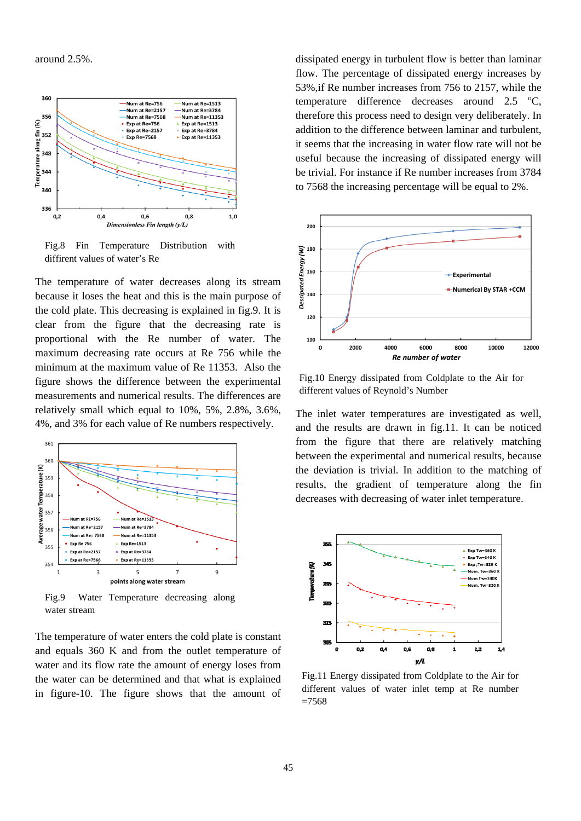around 2.5%.



Fig.8 Fin Temperature Distribution with diffirent values of water's Re

The temperature of water decreases along its stream because it loses the heat and this is the main purpose of the cold plate. This decreasing is explained in fig.9. It is clear from the figure that the decreasing rate is proportional with the Re number of water. The maximum decreasing rate occurs at Re 756 while the minimum at the maximum value of Re 11353. Also the figure shows the difference between the experimental measurements and numerical results. The differences are relatively small which equal to 10%, 5%, 2.8%, 3.6%, 4%, and 3% for each value of Re numbers respectively.



water stream

The temperature of water enters the cold plate is constant and equals 360 K and from the outlet temperature of water and its flow rate the amount of energy loses from the water can be determined and that what is explained in figure-10. The figure shows that the amount of dissipated energy in turbulent flow is better than laminar flow. The percentage of dissipated energy increases by 53%,if Re number increases from 756 to 2157, while the temperature difference decreases around  $2.5 \degree$ C, therefore this process need to design very deliberately. In addition to the difference between laminar and turbulent, it seems that the increasing in water flow rate will not be useful because the increasing of dissipated energy will be trivial. For instance if Re number increases from 3784 to 7568 the increasing percentage will be equal to 2%.



Fig.10 Energy dissipated from Coldplate to the Air for different values of Reynold's Number

The inlet water temperatures are investigated as well, and the results are drawn in fig.11. It can be noticed from the figure that there are relatively matching between the experimental and numerical results, because the deviation is trivial. In addition to the matching of results, the gradient of temperature along the fin decreases with decreasing of water inlet temperature.



Fig.11 Energy dissipated from Coldplate to the Air for different values of water inlet temp at Re number  $=7568$